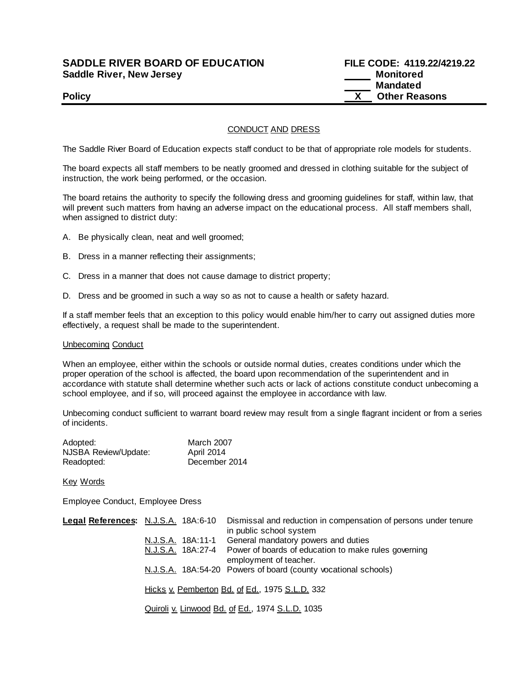# **SADDLE RIVER BOARD OF EDUCATION Saddle River, New Jersey**

| <b>SADDLE RIVER BOARD OF EDUCATION</b> | FILE CODE: 4119.22/4219.22 |
|----------------------------------------|----------------------------|
| <b>Saddle River, New Jersey</b>        | Monitored                  |
|                                        | Mandated                   |
| <b>Policy</b>                          | <b>Other Reasons</b>       |

## CONDUCT AND DRESS

The Saddle River Board of Education expects staff conduct to be that of appropriate role models for students.

The board expects all staff members to be neatly groomed and dressed in clothing suitable for the subject of instruction, the work being performed, or the occasion.

The board retains the authority to specify the following dress and grooming guidelines for staff, within law, that will prevent such matters from having an adverse impact on the educational process. All staff members shall, when assigned to district duty:

- A. Be physically clean, neat and well groomed;
- B. Dress in a manner reflecting their assignments;
- C. Dress in a manner that does not cause damage to district property;
- D. Dress and be groomed in such a way so as not to cause a health or safety hazard.

If a staff member feels that an exception to this policy would enable him/her to carry out assigned duties more effectively, a request shall be made to the superintendent.

### Unbecoming Conduct

When an employee, either within the schools or outside normal duties, creates conditions under which the proper operation of the school is affected, the board upon recommendation of the superintendent and in accordance with statute shall determine whether such acts or lack of actions constitute conduct unbecoming a school employee, and if so, will proceed against the employee in accordance with law.

Unbecoming conduct sufficient to warrant board review may result from a single flagrant incident or from a series of incidents.

| Adopted:             | <b>March 2007</b> |
|----------------------|-------------------|
| NJSBA Review/Update: | April 2014        |
| Readopted:           | December 2014     |

Key Words

Employee Conduct, Employee Dress

| Legal References: N.J.S.A. 18A:6-10 |                                                 |                   | Dismissal and reduction in compensation of persons under tenure<br>in public school system |  |
|-------------------------------------|-------------------------------------------------|-------------------|--------------------------------------------------------------------------------------------|--|
|                                     |                                                 | N.J.S.A. 18A:11-1 | General mandatory powers and duties                                                        |  |
|                                     |                                                 | N.J.S.A. 18A:27-4 | Power of boards of education to make rules governing<br>employment of teacher.             |  |
|                                     |                                                 |                   | N.J.S.A. 18A:54-20 Powers of board (county vocational schools)                             |  |
|                                     | Hicks v. Pemberton Bd. of Ed., 1975 S.L.D. 332  |                   |                                                                                            |  |
|                                     | Quiroli v. Linwood Bd. of Ed., 1974 S.L.D. 1035 |                   |                                                                                            |  |